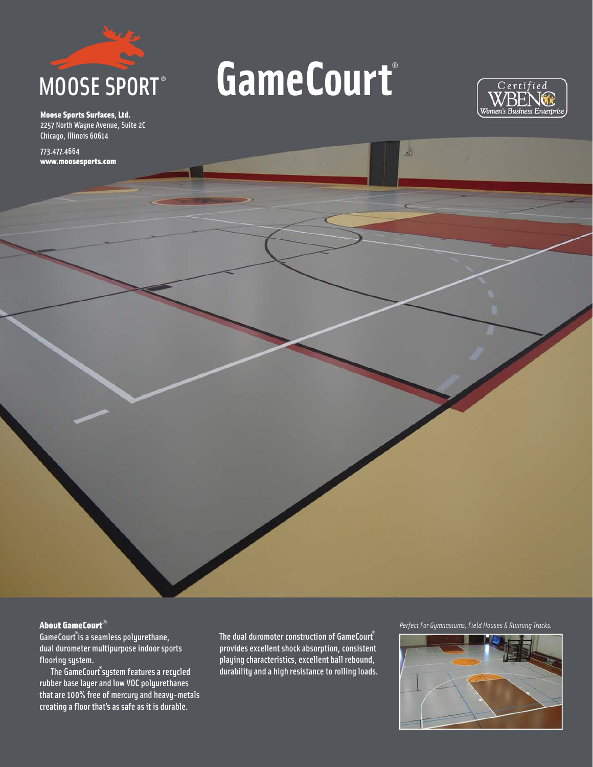

Moose Sports Surfaces, Ltd. 2257 North Wayne Avenue, Suite 2C Chicago, Illinois 60614

773.477.4664 www.moosesports.com

## GameCourt®

ur.



About GameCourt®

GameCourt**®** is a seamless polyurethane, dual durometer multipurpose indoor sports flooring system.

 The GameCourt**®** system features a recycled rubber base layer and low VOC polyurethanes that are 100% free of mercury and heavy-metals creating a floor that's as safe as it is durable.

The dual duromoter construction of GameCourt**®**  provides excellent shock absorption, consistent playing characteristics, excellent ball rebound, durability and a high resistance to rolling loads.